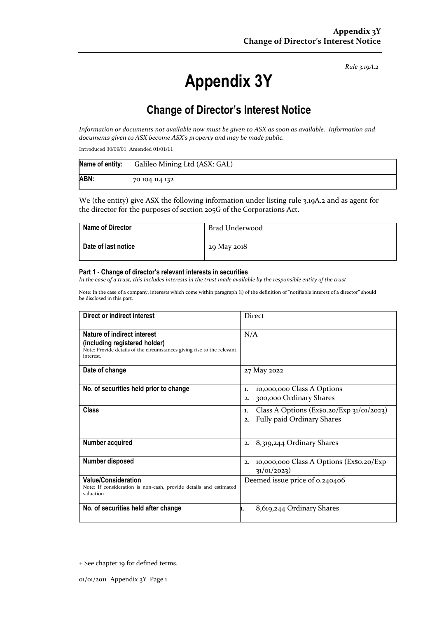*Rule 3.19A.2*

# **Appendix 3Y**

## **Change of Director's Interest Notice**

Information or documents not available now must be given to ASX as soon as available. Information and *documents given to ASX become ASX's property and may be made public.*

Introduced 30/09/01 Amended 01/01/11

| Name of entity: | Galileo Mining Ltd (ASX: GAL) |
|-----------------|-------------------------------|
| ABN:            | 70 104 114 132                |

We (the entity) give ASX the following information under listing rule 3.19A.2 and as agent for the director for the purposes of section 205G of the Corporations Act.

| <b>Name of Director</b> | Brad Underwood |
|-------------------------|----------------|
| Date of last notice     | 29 May 2018    |

#### **Part 1 - Change of director's relevant interests in securities**

In the case of a trust, this includes interests in the trust made available by the responsible entity of the trust

Note: In the case of a company, interests which come within paragraph (i) of the definition of "notifiable interest of a director" should be disclosed in this part.

| Direct or indirect interest                                                                                                                                | <b>Direct</b>                                                                          |
|------------------------------------------------------------------------------------------------------------------------------------------------------------|----------------------------------------------------------------------------------------|
| <b>Nature of indirect interest</b><br>(including registered holder)<br>Note: Provide details of the circumstances giving rise to the relevant<br>interest. | N/A                                                                                    |
| Date of change                                                                                                                                             | 27 May 2022                                                                            |
| No. of securities held prior to change                                                                                                                     | 10,000,000 Class A Options<br>1.<br>300,000 Ordinary Shares<br>2.                      |
| Class                                                                                                                                                      | Class A Options (Ex\$0.20/Exp $31/01/2023$ )<br>1.<br>Fully paid Ordinary Shares<br>2. |
| Number acquired                                                                                                                                            | 8,319,244 Ordinary Shares<br>2.                                                        |
| Number disposed                                                                                                                                            | 10,000,000 Class A Options (Ex\$0.20/Exp<br>2.<br>31/01/2023)                          |
| <b>Value/Consideration</b><br>Note: If consideration is non-cash, provide details and estimated<br>valuation                                               | Deemed issue price of 0.240406                                                         |
| No. of securities held after change                                                                                                                        | 8,619,244 Ordinary Shares<br>ı.                                                        |

<sup>+</sup> See chapter 19 for defined terms.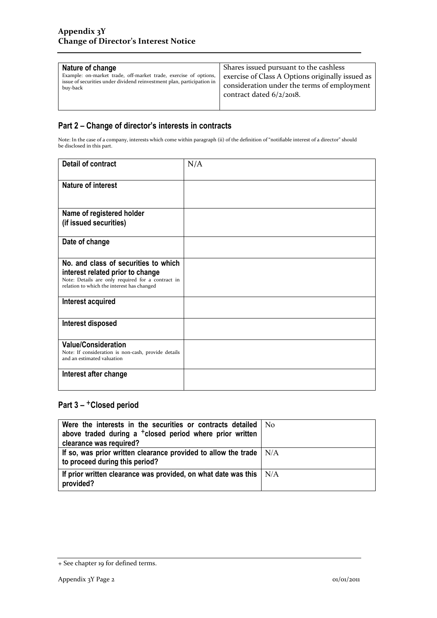| Nature of change                                                       | Shares issued pursuant to the cashless           |
|------------------------------------------------------------------------|--------------------------------------------------|
| Example: on-market trade, off-market trade, exercise of options,       | exercise of Class A Options originally issued as |
| issue of securities under dividend reinvestment plan, participation in | consideration under the terms of employment      |
| buy-back                                                               | contract dated $6/2/2018$ .                      |
|                                                                        |                                                  |

## **Part 2 – Change of director's interests in contracts**

Note: In the case of a company, interests which come within paragraph (ii) of the definition of "notifiable interest of a director" should be disclosed in this part.

| <b>Detail of contract</b>                                                                                                                                                   | N/A |
|-----------------------------------------------------------------------------------------------------------------------------------------------------------------------------|-----|
| <b>Nature of interest</b>                                                                                                                                                   |     |
| Name of registered holder<br>(if issued securities)                                                                                                                         |     |
| Date of change                                                                                                                                                              |     |
| No. and class of securities to which<br>interest related prior to change<br>Note: Details are only required for a contract in<br>relation to which the interest has changed |     |
| Interest acquired                                                                                                                                                           |     |
| Interest disposed                                                                                                                                                           |     |
| <b>Value/Consideration</b><br>Note: If consideration is non-cash, provide details<br>and an estimated valuation                                                             |     |
| Interest after change                                                                                                                                                       |     |

### Part 3 - <sup>+</sup>Closed period

| Were the interests in the securities or contracts detailed   No            |     |
|----------------------------------------------------------------------------|-----|
| above traded during a $^+$ closed period where prior written               |     |
| clearance was required?                                                    |     |
| If so, was prior written clearance provided to allow the trade $\vert$ N/A |     |
| to proceed during this period?                                             |     |
| If prior written clearance was provided, on what date was this             | N/A |
| provided?                                                                  |     |

<sup>+</sup> See chapter 19 for defined terms.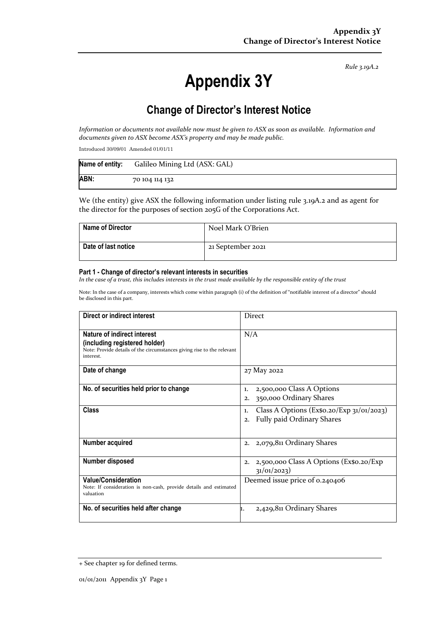*Rule 3.19A.2*

# **Appendix 3Y**

## **Change of Director's Interest Notice**

Information or documents not available now must be given to ASX as soon as available. Information and *documents given to ASX become ASX's property and may be made public.*

Introduced 30/09/01 Amended 01/01/11

| Name of entity: | Galileo Mining Ltd (ASX: GAL) |
|-----------------|-------------------------------|
| ABN:            | 70 104 114 132                |

We (the entity) give ASX the following information under listing rule 3.19A.2 and as agent for the director for the purposes of section 205G of the Corporations Act.

| <b>Name of Director</b> | Noel Mark O'Brien |
|-------------------------|-------------------|
| Date of last notice     | 21 September 2021 |

#### **Part 1 - Change of director's relevant interests in securities**

In the case of a trust, this includes interests in the trust made available by the responsible entity of the trust

Note: In the case of a company, interests which come within paragraph (i) of the definition of "notifiable interest of a director" should be disclosed in this part.

| Direct or indirect interest                                                                                                                                | <b>Direct</b>                                                                                 |
|------------------------------------------------------------------------------------------------------------------------------------------------------------|-----------------------------------------------------------------------------------------------|
| <b>Nature of indirect interest</b><br>(including registered holder)<br>Note: Provide details of the circumstances giving rise to the relevant<br>interest. | N/A                                                                                           |
| Date of change                                                                                                                                             | 27 May 2022                                                                                   |
| No. of securities held prior to change                                                                                                                     | 2,500,000 Class A Options<br>1.<br>350,000 Ordinary Shares<br>2.                              |
| Class                                                                                                                                                      | Class A Options (Ex\$0.20/Exp $31/01/2023$ )<br>1.<br><b>Fully paid Ordinary Shares</b><br>2. |
| <b>Number acquired</b>                                                                                                                                     | 2,079,811 Ordinary Shares<br>2.                                                               |
| Number disposed                                                                                                                                            | 2,500,000 Class A Options (Ex\$0.20/Exp<br>2.<br>31/01/2023)                                  |
| <b>Value/Consideration</b><br>Note: If consideration is non-cash, provide details and estimated<br>valuation                                               | Deemed issue price of 0.240406                                                                |
| No. of securities held after change                                                                                                                        | 2,429,811 Ordinary Shares<br>ı.                                                               |

<sup>+</sup> See chapter 19 for defined terms.